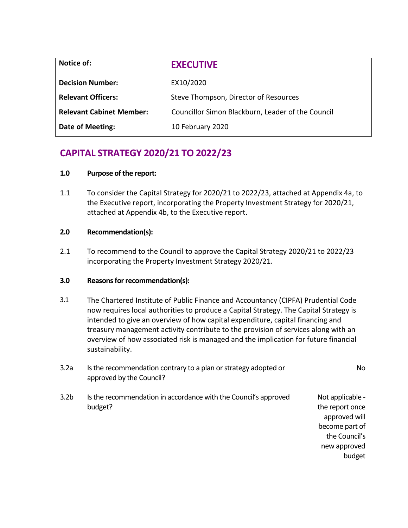| Notice of:                      | <b>EXECUTIVE</b>                                  |
|---------------------------------|---------------------------------------------------|
| <b>Decision Number:</b>         | EX10/2020                                         |
| <b>Relevant Officers:</b>       | Steve Thompson, Director of Resources             |
| <b>Relevant Cabinet Member:</b> | Councillor Simon Blackburn, Leader of the Council |
| <b>Date of Meeting:</b>         | 10 February 2020                                  |

# **CAPITAL STRATEGY 2020/21 TO 2022/23**

## **1.0 Purpose of the report:**

1.1 To consider the Capital Strategy for 2020/21 to 2022/23, attached at Appendix 4a, to the Executive report, incorporating the Property Investment Strategy for 2020/21, attached at Appendix 4b, to the Executive report.

## **2.0 Recommendation(s):**

2.1 To recommend to the Council to approve the Capital Strategy 2020/21 to 2022/23 incorporating the Property Investment Strategy 2020/21.

## **3.0 Reasons for recommendation(s):**

3.1 The Chartered Institute of Public Finance and Accountancy (CIPFA) Prudential Code now requires local authorities to produce a Capital Strategy. The Capital Strategy is intended to give an overview of how capital expenditure, capital financing and treasury management activity contribute to the provision of services along with an overview of how associated risk is managed and the implication for future financial sustainability.

| <b>No</b>                                                                                                         | Is the recommendation contrary to a plan or strategy adopted or<br>approved by the Council? | 3.2a             |
|-------------------------------------------------------------------------------------------------------------------|---------------------------------------------------------------------------------------------|------------------|
| Not applicable -<br>the report once<br>approved will<br>become part of<br>the Council's<br>new approved<br>budget | Is the recommendation in accordance with the Council's approved<br>budget?                  | 3.2 <sub>b</sub> |
|                                                                                                                   |                                                                                             |                  |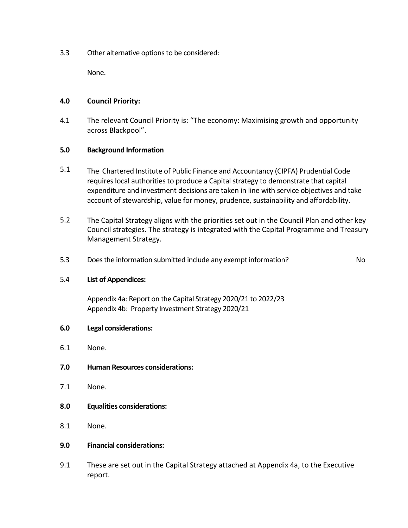3.3 Other alternative options to be considered:

None.

## **4.0 Council Priority:**

4.1 The relevant Council Priority is: "The economy: Maximising growth and opportunity across Blackpool".

## **5.0 Background Information**

- 5.1 The Chartered Institute of Public Finance and Accountancy (CIPFA) Prudential Code requires local authorities to produce a Capital strategy to demonstrate that capital expenditure and investment decisions are taken in line with service objectives and take account of stewardship, value for money, prudence, sustainability and affordability.
- 5.2 The Capital Strategy aligns with the priorities set out in the Council Plan and other key Council strategies. The strategy is integrated with the Capital Programme and Treasury Management Strategy.
- 5.3 Does the information submitted include any exempt information? No

## 5.4 **List of Appendices:**

Appendix 4a: Report on the Capital Strategy 2020/21 to 2022/23 Appendix 4b: Property Investment Strategy 2020/21

## **6.0 Legal considerations:**

- 6.1 None.
- **7.0 Human Resources considerations:**
- 7.1 None.
- **8.0 Equalities considerations:**
- 8.1 None.
- **9.0 Financial considerations:**
- 9.1 These are set out in the Capital Strategy attached at Appendix 4a, to the Executive report.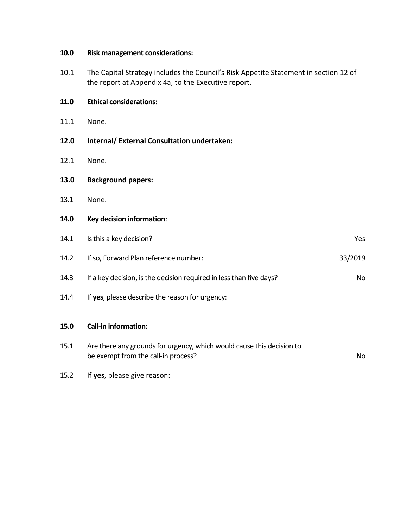## **10.0 Risk management considerations:**

10.1 The Capital Strategy includes the Council's Risk Appetite Statement in section 12 of the report at Appendix 4a, to the Executive report.

| 11.0 | <b>Ethical considerations:</b>                                                                               |           |
|------|--------------------------------------------------------------------------------------------------------------|-----------|
| 11.1 | None.                                                                                                        |           |
| 12.0 | Internal/ External Consultation undertaken:                                                                  |           |
| 12.1 | None.                                                                                                        |           |
| 13.0 | <b>Background papers:</b>                                                                                    |           |
| 13.1 | None.                                                                                                        |           |
| 14.0 | Key decision information:                                                                                    |           |
| 14.1 | Is this a key decision?                                                                                      | Yes       |
| 14.2 | If so, Forward Plan reference number:                                                                        | 33/2019   |
| 14.3 | If a key decision, is the decision required in less than five days?                                          | <b>No</b> |
| 14.4 | If yes, please describe the reason for urgency:                                                              |           |
| 15.0 | <b>Call-in information:</b>                                                                                  |           |
| 15.1 | Are there any grounds for urgency, which would cause this decision to<br>be exempt from the call-in process? | <b>No</b> |

15.2 If **yes**, please give reason: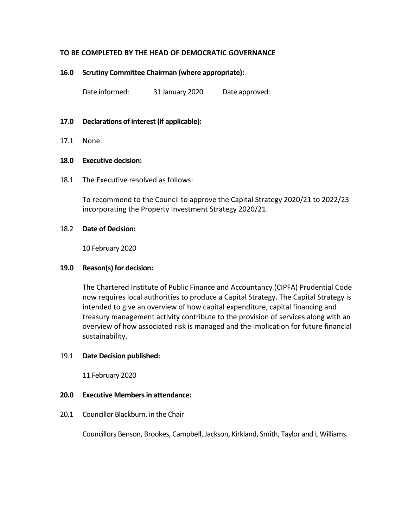## **TO BE COMPLETED BY THE HEAD OF DEMOCRATIC GOVERNANCE**

#### **16.0 Scrutiny Committee Chairman (where appropriate):**

Date informed: 31 January 2020 Date approved:

#### **17.0 Declarations of interest (if applicable):**

17.1 None.

#### **18.0 Executive decision:**

18.1 The Executive resolved as follows:

To recommend to the Council to approve the Capital Strategy 2020/21 to 2022/23 incorporating the Property Investment Strategy 2020/21.

#### 18.2 **Date of Decision:**

10 February 2020

#### **19.0 Reason(s) for decision:**

The Chartered Institute of Public Finance and Accountancy (CIPFA) Prudential Code now requires local authorities to produce a Capital Strategy. The Capital Strategy is intended to give an overview of how capital expenditure, capital financing and treasury management activity contribute to the provision of services along with an overview of how associated risk is managed and the implication for future financial sustainability.

#### 19.1 **Date Decision published:**

11 February 2020

#### **20.0 Executive Members in attendance:**

20.1 Councillor Blackburn, in the Chair

Councillors Benson, Brookes, Campbell, Jackson, Kirkland, Smith, Taylor and L Williams.